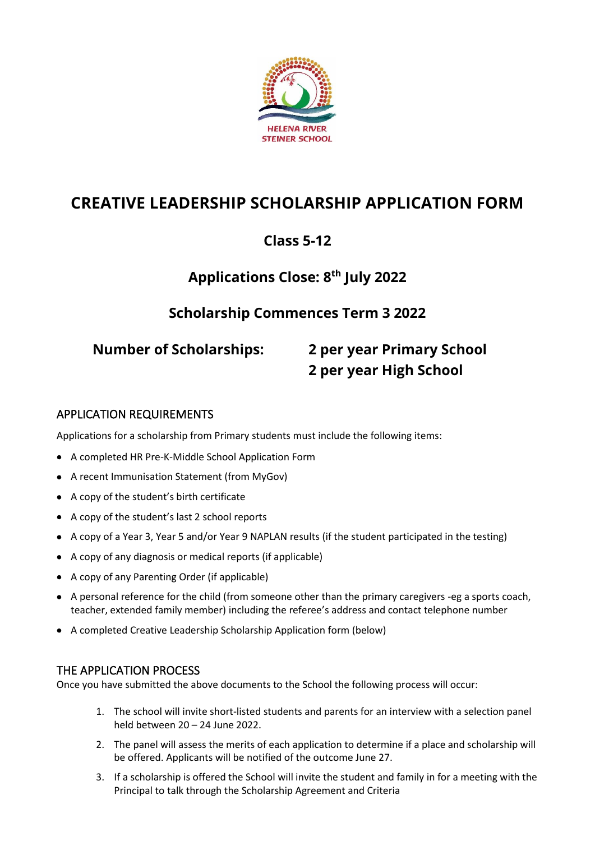

# **CREATIVE LEADERSHIP SCHOLARSHIP APPLICATION FORM**

# **Class 5-12**

# **Applications Close: 8 th July 2022**

## **Scholarship Commences Term 3 2022**

# **Number of Scholarships: 2 per year Primary School 2 per year High School**

#### APPLICATION REQUIREMENTS

Applications for a scholarship from Primary students must include the following items:

- A completed HR Pre-K-Middle School Application Form
- A recent Immunisation Statement (from MyGov)
- A copy of the student's birth certificate
- A copy of the student's last 2 school reports
- A copy of a Year 3, Year 5 and/or Year 9 NAPLAN results (if the student participated in the testing)
- A copy of any diagnosis or medical reports (if applicable)
- A copy of any Parenting Order (if applicable)
- A personal reference for the child (from someone other than the primary caregivers -eg a sports coach, teacher, extended family member) including the referee's address and contact telephone number
- A completed Creative Leadership Scholarship Application form (below)

#### THE APPLICATION PROCESS

Once you have submitted the above documents to the School the following process will occur:

- 1. The school will invite short-listed students and parents for an interview with a selection panel held between 20 – 24 June 2022.
- 2. The panel will assess the merits of each application to determine if a place and scholarship will be offered. Applicants will be notified of the outcome June 27.
- 3. If a scholarship is offered the School will invite the student and family in for a meeting with the Principal to talk through the Scholarship Agreement and Criteria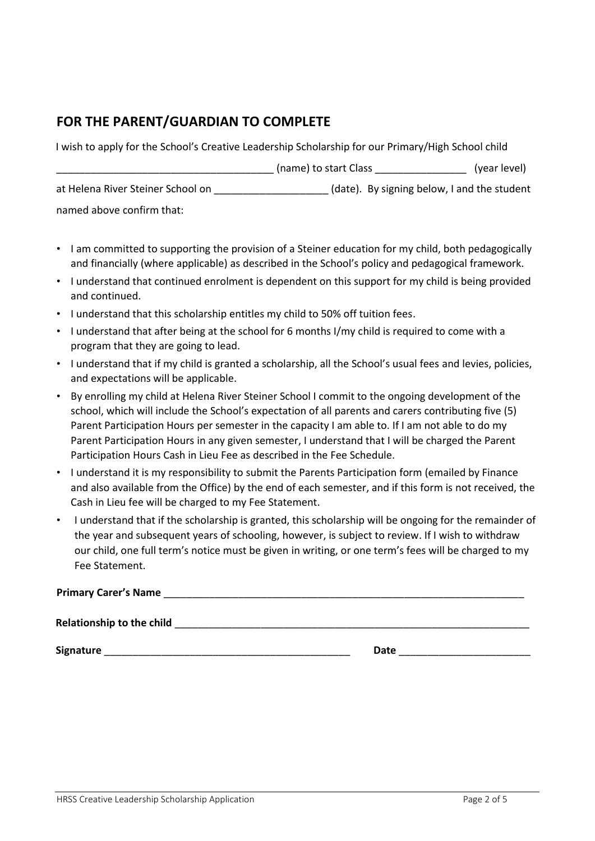### **FOR THE PARENT/GUARDIAN TO COMPLETE**

I wish to apply for the School's Creative Leadership Scholarship for our Primary/High School child

|                                   | (name) to start Class                       | (year level) |
|-----------------------------------|---------------------------------------------|--------------|
| at Helena River Steiner School on | (date). By signing below, I and the student |              |
| named above confirm that:         |                                             |              |

- I am committed to supporting the provision of a Steiner education for my child, both pedagogically and financially (where applicable) as described in the School's policy and pedagogical framework.
- I understand that continued enrolment is dependent on this support for my child is being provided and continued.
- I understand that this scholarship entitles my child to 50% off tuition fees.
- I understand that after being at the school for 6 months I/my child is required to come with a program that they are going to lead.
- I understand that if my child is granted a scholarship, all the School's usual fees and levies, policies, and expectations will be applicable.
- By enrolling my child at Helena River Steiner School I commit to the ongoing development of the school, which will include the School's expectation of all parents and carers contributing five (5) Parent Participation Hours per semester in the capacity I am able to. If I am not able to do my Parent Participation Hours in any given semester, I understand that I will be charged the Parent Participation Hours Cash in Lieu Fee as described in the Fee Schedule.
- I understand it is my responsibility to submit the Parents Participation form (emailed by Finance and also available from the Office) by the end of each semester, and if this form is not received, the Cash in Lieu fee will be charged to my Fee Statement.
- I understand that if the scholarship is granted, this scholarship will be ongoing for the remainder of the year and subsequent years of schooling, however, is subject to review. If I wish to withdraw our child, one full term's notice must be given in writing, or one term's fees will be charged to my Fee Statement.

| <b>Primary Carer's Name</b> |  |
|-----------------------------|--|
|                             |  |

Relationship to the child **with a set of the child**  $\blacksquare$ 

**Signature Date Date Date Date Date** *Date* **Date** *Date Date Date*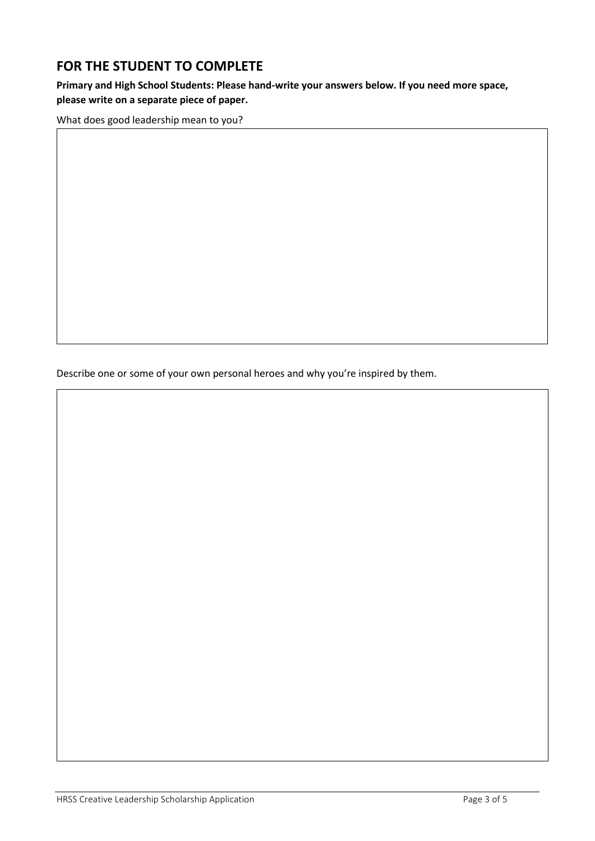#### **FOR THE STUDENT TO COMPLETE**

**Primary and High School Students: Please hand-write your answers below. If you need more space, please write on a separate piece of paper.**

What does good leadership mean to you?

Describe one or some of your own personal heroes and why you're inspired by them.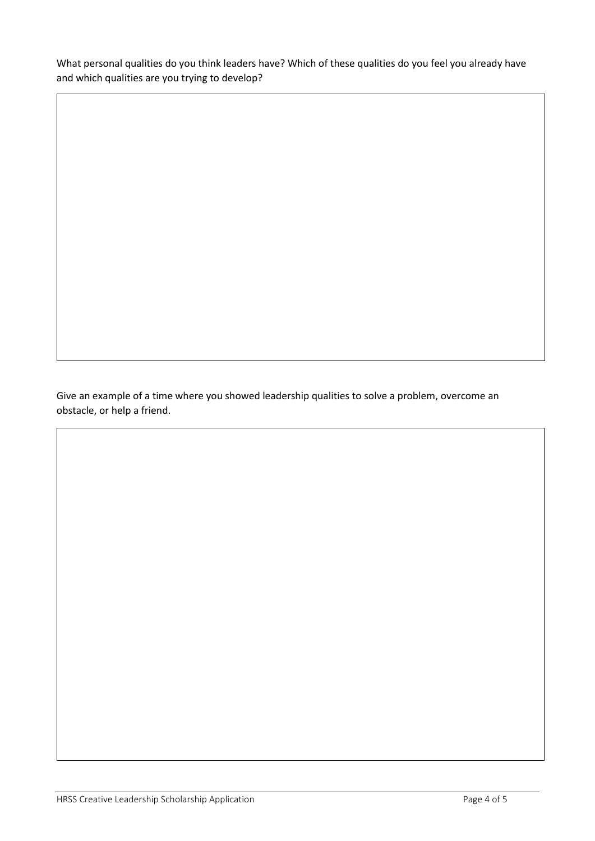What personal qualities do you think leaders have? Which of these qualities do you feel you already have and which qualities are you trying to develop?

Give an example of a time where you showed leadership qualities to solve a problem, overcome an obstacle, or help a friend.